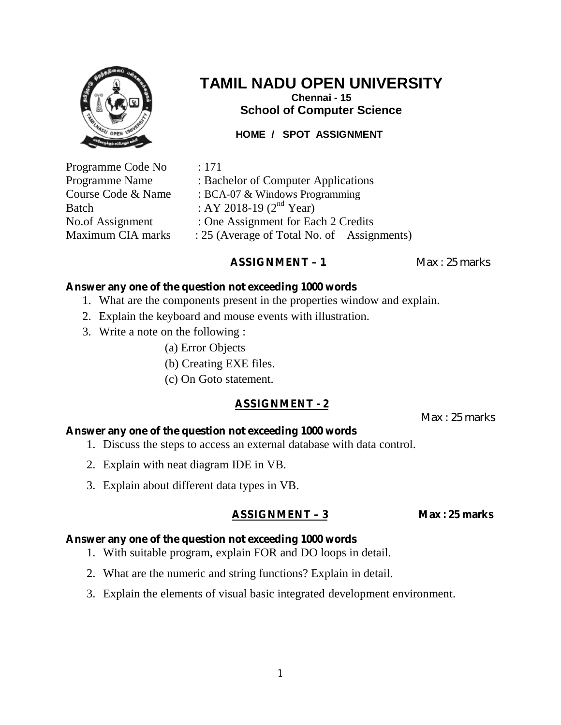

**Chennai - 15 School of Computer Science**

## **HOME / SPOT ASSIGNMENT**

Programme Code No : 171 Programme Name : Bachelor of Computer Applications Course Code & Name : BCA-07 & Windows Programming Batch : AY 2018-19  $(2^{nd}$  Year) No.of Assignment : One Assignment for Each 2 Credits Maximum CIA marks : 25 (Average of Total No. of Assignments)

## **ASSIGNMENT – 1** Max : 25 marks

### **Answer any one of the question not exceeding 1000 words**

- 1. What are the components present in the properties window and explain.
- 2. Explain the keyboard and mouse events with illustration.
- 3. Write a note on the following :
	- (a) Error Objects
	- (b) Creating EXE files.
	- (c) On Goto statement.

### **ASSIGNMENT - 2**

Max : 25 marks

### **Answer any one of the question not exceeding 1000 words**

- 1. Discuss the steps to access an external database with data control.
- 2. Explain with neat diagram IDE in VB.
- 3. Explain about different data types in VB.

## **ASSIGNMENT – 3 Max : 25 marks**

- 1. With suitable program, explain FOR and DO loops in detail.
- 2. What are the numeric and string functions? Explain in detail.
- 3. Explain the elements of visual basic integrated development environment.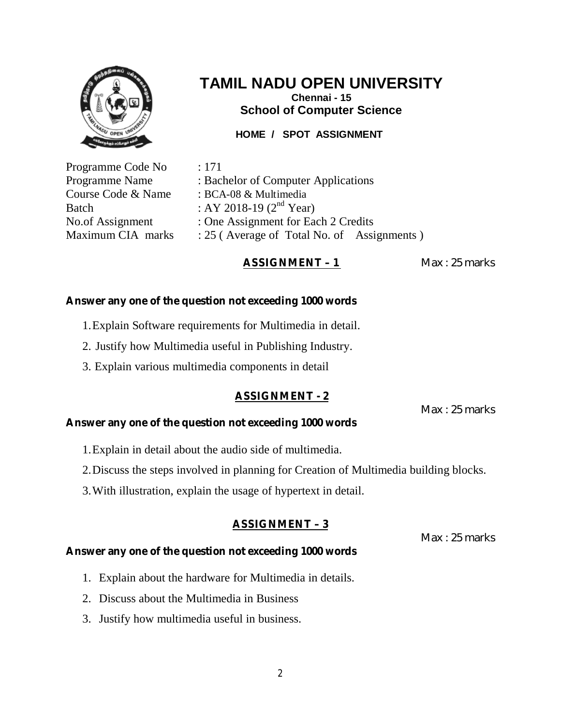

**Chennai - 15 School of Computer Science**

## **HOME / SPOT ASSIGNMENT**

Programme Code No : 171

Programme Name : Bachelor of Computer Applications Course Code & Name : BCA-08 & Multimedia Batch : AY 2018-19  $(2^{nd}$  Year) No.of Assignment : One Assignment for Each 2 Credits Maximum CIA marks  $\therefore$  25 (Average of Total No. of Assignments)

# **ASSIGNMENT – 1** Max : 25 marks

## **Answer any one of the question not exceeding 1000 words**

- 1.Explain Software requirements for Multimedia in detail.
- 2. Justify how Multimedia useful in Publishing Industry.
- 3. Explain various multimedia components in detail

# **ASSIGNMENT - 2**

Max : 25 marks

## **Answer any one of the question not exceeding 1000 words**

- 1.Explain in detail about the audio side of multimedia.
- 2.Discuss the steps involved in planning for Creation of Multimedia building blocks.
- 3.With illustration, explain the usage of hypertext in detail.

# **ASSIGNMENT – 3**

Max : 25 marks

- 1. Explain about the hardware for Multimedia in details.
- 2. Discuss about the Multimedia in Business
- 3. Justify how multimedia useful in business.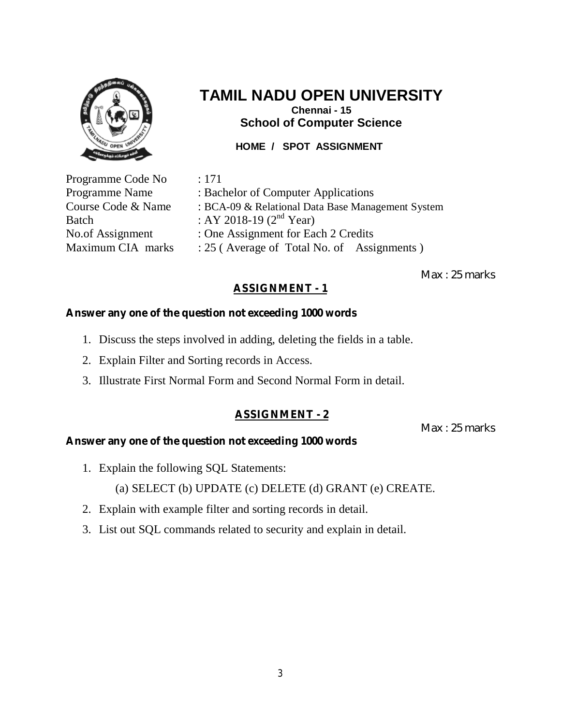

# **TAMIL NADU OPEN UNIVERSITY Chennai - 15 School of Computer Science**

# **HOME / SPOT ASSIGNMENT**

Programme Code No : 171 Batch : AY 2018-19  $(2^{nd}$  Year)

Programme Name : Bachelor of Computer Applications Course Code & Name : BCA-09 & Relational Data Base Management System No.of Assignment : One Assignment for Each 2 Credits Maximum CIA marks  $\therefore$  25 (Average of Total No. of Assignments)

Max : 25 marks

# **ASSIGNMENT - 1**

## **Answer any one of the question not exceeding 1000 words**

- 1. Discuss the steps involved in adding, deleting the fields in a table.
- 2. Explain Filter and Sorting records in Access.
- 3. Illustrate First Normal Form and Second Normal Form in detail.

# **ASSIGNMENT - 2**

Max : 25 marks

## **Answer any one of the question not exceeding 1000 words**

1. Explain the following SQL Statements:

(a) SELECT (b) UPDATE (c) DELETE (d) GRANT (e) CREATE.

- 2. Explain with example filter and sorting records in detail.
- 3. List out SQL commands related to security and explain in detail.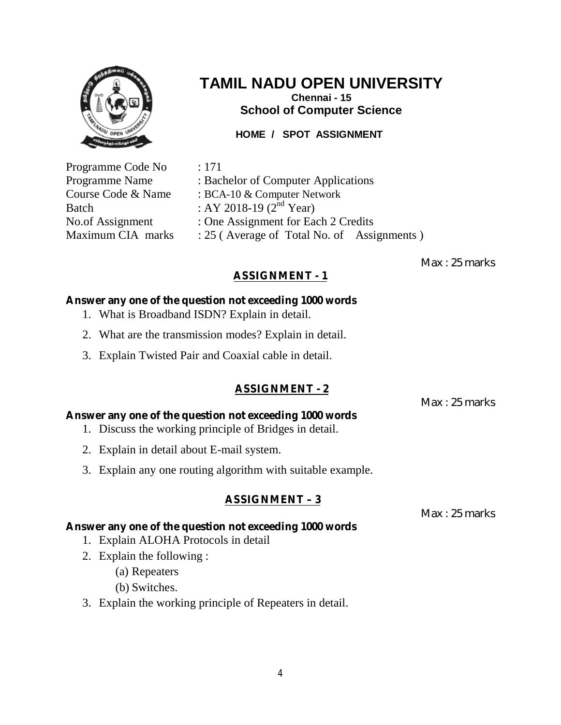

**Chennai - 15 School of Computer Science**

**HOME / SPOT ASSIGNMENT**

Programme Code No : 171

Programme Name : Bachelor of Computer Applications Course Code & Name : BCA-10 & Computer Network Batch : AY 2018-19 ( $2^{\text{nd}}$  Year) No.of Assignment : One Assignment for Each 2 Credits Maximum CIA marks  $\therefore$  25 (Average of Total No. of Assignments)

Max : 25 marks

# **ASSIGNMENT - 1**

# **Answer any one of the question not exceeding 1000 words**

- 1. What is Broadband ISDN? Explain in detail.
- 2. What are the transmission modes? Explain in detail.
- 3. Explain Twisted Pair and Coaxial cable in detail.

# **ASSIGNMENT - 2**

Max : 25 marks

# **Answer any one of the question not exceeding 1000 words**

1. Discuss the working principle of Bridges in detail.

**Answer any one of the question not exceeding 1000 words** 

- 2. Explain in detail about E-mail system.
- 3. Explain any one routing algorithm with suitable example.

# **ASSIGNMENT – 3**

Max : 25 marks

# 1. Explain ALOHA Protocols in detail

- 2. Explain the following :
	- (a) Repeaters
	- (b) Switches.
- 3. Explain the working principle of Repeaters in detail.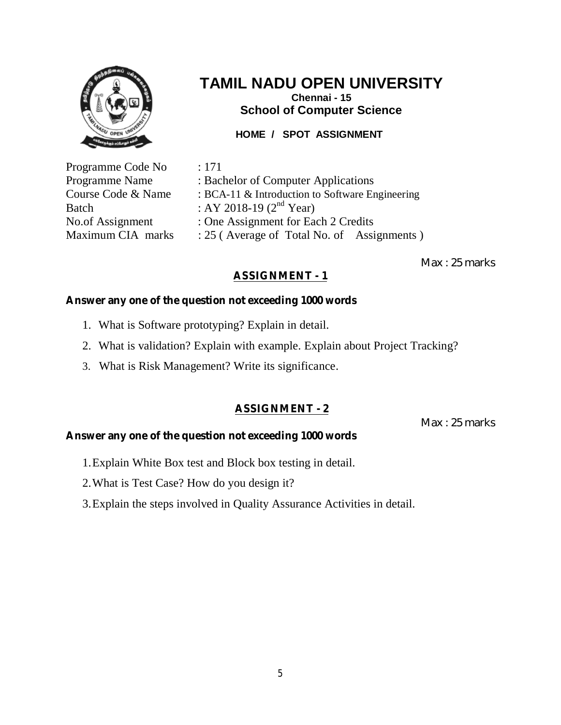

**Chennai - 15 School of Computer Science**

**HOME / SPOT ASSIGNMENT**

Programme Code No : 171 Batch : AY 2018-19  $(2^{nd}$  Year)

Programme Name : Bachelor of Computer Applications Course Code & Name : BCA-11 & Introduction to Software Engineering No.of Assignment : One Assignment for Each 2 Credits Maximum CIA marks  $\therefore$  25 (Average of Total No. of Assignments)

Max : 25 marks

# **ASSIGNMENT - 1**

# **Answer any one of the question not exceeding 1000 words**

- 1. What is Software prototyping? Explain in detail.
- 2. What is validation? Explain with example. Explain about Project Tracking?
- 3. What is Risk Management? Write its significance.

# **ASSIGNMENT - 2**

Max : 25 marks

- 1.Explain White Box test and Block box testing in detail.
- 2.What is Test Case? How do you design it?
- 3.Explain the steps involved in Quality Assurance Activities in detail.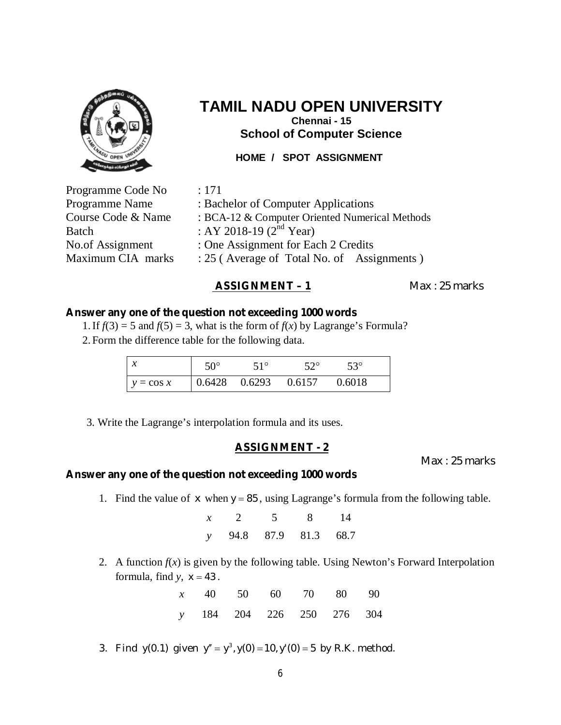

**Chennai - 15 School of Computer Science**

### **HOME / SPOT ASSIGNMENT**

| Programme Code No  | : 171                                          |  |  |
|--------------------|------------------------------------------------|--|--|
| Programme Name     | : Bachelor of Computer Applications            |  |  |
| Course Code & Name | : BCA-12 & Computer Oriented Numerical Methods |  |  |
| Batch              | : AY 2018-19 $(2^{nd}$ Year)                   |  |  |
| No.of Assignment   | : One Assignment for Each 2 Credits            |  |  |
| Maximum CIA marks  | : 25 (Average of Total No. of Assignments)     |  |  |

### **ASSIGNMENT – 1** Max : 25 marks

#### **Answer any one of the question not exceeding 1000 words**

1. If  $f(3) = 5$  and  $f(5) = 3$ , what is the form of  $f(x)$  by Lagrange's Formula?

2. Form the difference table for the following data.

| $\mathcal{X}$ | $50^\circ$ | $51^\circ$ | $52^\circ$                                                 | $53^\circ$ |
|---------------|------------|------------|------------------------------------------------------------|------------|
| $y = \cos x$  |            |            | $\begin{array}{cccc} 0.6428 & 0.6293 & 0.6157 \end{array}$ | 0.6018     |

3. Write the Lagrange's interpolation formula and its uses.

### **ASSIGNMENT - 2**

Max : 25 marks

### **Answer any one of the question not exceeding 1000 words**

1. Find the value of *x* when  $y = 85$ , using Lagrange's formula from the following table.

| $x \quad 2$           | $\overline{5}$ | $\sim$ 8 | 14 |
|-----------------------|----------------|----------|----|
| y 94.8 87.9 81.3 68.7 |                |          |    |

2. A function  $f(x)$  is given by the following table. Using Newton's Forward Interpolation formula, find  $y$ ,  $x = 43$ .

|  | x 40 50 60 70 80 90       |  |  |
|--|---------------------------|--|--|
|  | y 184 204 226 250 276 304 |  |  |

3. Find  $y(0.1)$  given  $y'' = y^3$ ,  $y(0) = 10$ ,  $y'(0) = 5$  by R.K. method.